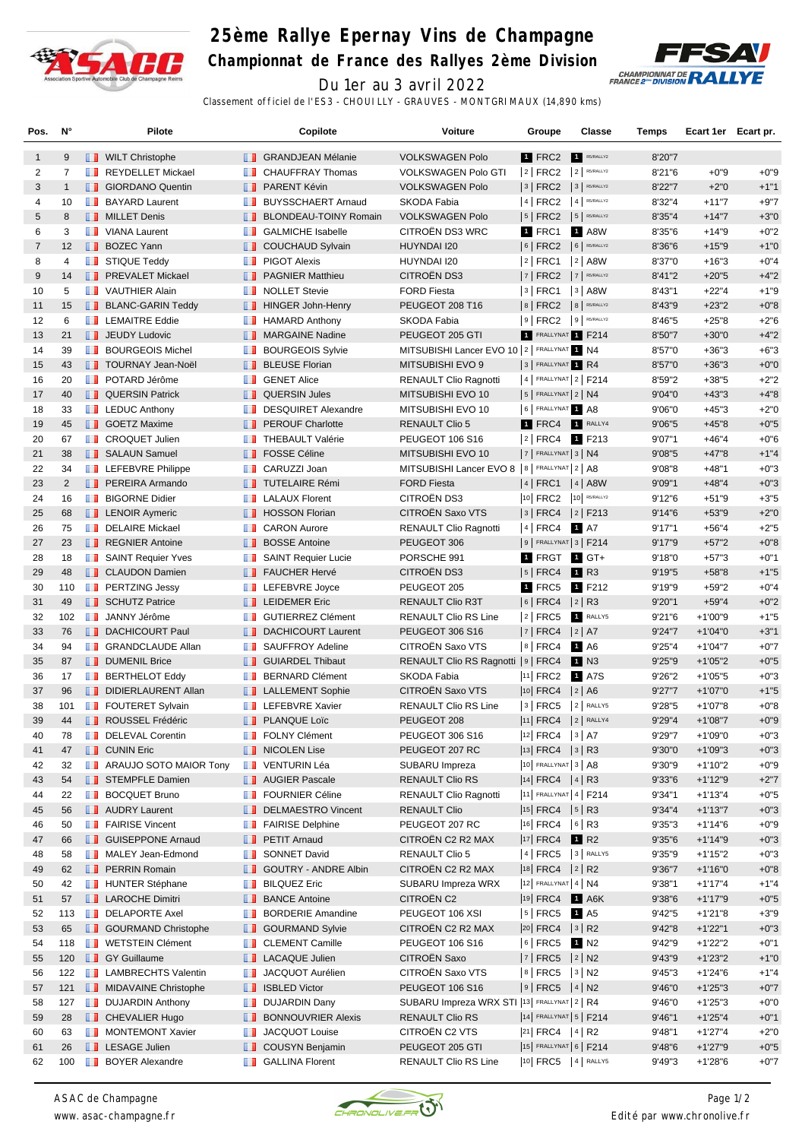

## **25ème Rallye Epernay Vins de Champagne**

**Championnat de France des Rallyes 2ème Division**



Du 1er au 3 avril 2022 Classement officiel de l'ES3 - CHOUILLY - GRAUVES - MONTGRIMAUX (14,890 kms)

| Pos.           | N°             | Pilote                                          |               | Copilote                     | Voiture                                        | Groupe                     | Classe           | Temps   | Ecart 1er Ecart pr. |        |
|----------------|----------------|-------------------------------------------------|---------------|------------------------------|------------------------------------------------|----------------------------|------------------|---------|---------------------|--------|
| $\mathbf{1}$   | 9              | <b>NILT</b> Christophe                          |               | <b>B</b> GRANDJEAN Mélanie   | <b>VOLKSWAGEN Polo</b>                         | 1 FRC2                     | R5/RALLY2        | 8'20"7  |                     |        |
| 2              | $\overline{7}$ | REYDELLET Mickael                               | ш             | CHAUFFRAY Thomas             | <b>VOLKSWAGEN Polo GTI</b>                     | $ 2 $ FRC2                 | $2$ R5/RALLY2    | 8'21"6  | $+0"9$              | $+0"9$ |
| 3              | $\mathbf{1}$   | <b>B</b> GIORDANO Quentin                       |               | <b>F</b> PARENT Kévin        | <b>VOLKSWAGEN Polo</b>                         | 3 FRC2 3 R5/RALLY2         |                  | 8'22"7  | $+2"0$              | $+1"1$ |
| 4              | 10             | <b>BAYARD Laurent</b>                           | п.            | <b>BUYSSCHAERT Arnaud</b>    | SKODA Fabia                                    | $ 4 $ FRC2 $ 4 $ R5/RALLY2 |                  | 8'32"4  | $+11"7$             | $+9"7$ |
| 5              | 8              | <b>NILLET</b> Denis                             | . .           | <b>BLONDEAU-TOINY Romain</b> | <b>VOLKSWAGEN Polo</b>                         | $ 5 $ FRC2 $ 5 $ RS/RALLY2 |                  | 8'35"4  | $+14"7$             | $+3"0$ |
| 6              | 3              | VIANA Laurent                                   |               | <b>B</b> GALMICHE Isabelle   | CITROËN DS3 WRC                                | 1 FRC1                     | 1 A8W            | 8'35"6  | $+14"9$             | $+0"2$ |
| $\overline{7}$ | 12             | <b>BOZEC Yann</b>                               |               | COUCHAUD Sylvain             | HUYNDAI I20                                    | $ 6 $ FRC2                 | $6$ R5/RALLY2    | 8'36"6  | $+15"9$             | $+1"0$ |
| 8              | 4              | STIQUE Teddy                                    | ш             | <b>PIGOT Alexis</b>          | HUYNDAI I20                                    | $ 2 $ FRC1                 | $ 2 $ A8W        | 8'37"0  | $+16"3$             | $+0"4$ |
| 9              | 14             | <b>FREVALET Mickael</b>                         |               | <b>FRAGNIER Matthieu</b>     | CITROËN DS3                                    | 7 FRC2                     | 7 R5/RALLY2      | 8'41"2  | $+20"5$             | $+4"2$ |
| 10             | 5              | VAUTHIER Alain                                  | <b>Maria</b>  | <b>NOLLET Stevie</b>         | <b>FORD Fiesta</b>                             | 3 FRC1                     | $ 3 $ A8W        | 8'43''1 | $+22"4$             | $+1"9$ |
| 11             | 15             | <b>BLANC-GARIN Teddy</b>                        |               | <b>T</b> HINGER John-Henry   | PEUGEOT 208 T16                                | $ 8 $ FRC2 $ 8 $ R5/RALLY2 |                  | 8'43"9  | $+23"2$             | $+0"8$ |
| 12             | 6              | <b>LEMAITRE Eddie</b>                           |               | <b>HAMARD Anthony</b>        | <b>SKODA Fabia</b>                             | 9 FRC2 9 R5/RALLY2         |                  |         |                     | $+2"6$ |
| 13             | 21             |                                                 |               |                              | PEUGEOT 205 GTI                                |                            |                  | 8'46"5  | $+25"8$             | $+4"2$ |
|                |                | <b>JEUDY Ludovic</b><br><b>BOURGEOIS Michel</b> |               | MARGAINE Nadine              |                                                | 1 FRALLYNAT 1 F214         |                  | 8'50"7  | $+30"0$             |        |
| 14             | 39             |                                                 | ш             | <b>BOURGEOIS Sylvie</b>      | MITSUBISHI Lancer EVO 10   2   FRALLYNAT 1 N4  |                            |                  | 8'57"0  | $+36"3$             | $+6"3$ |
| 15             | 43             | <b>TOURNAY Jean-Noël</b>                        |               | <b>BLEUSE Florian</b>        | MITSUBISHI EVO 9                               | 3 FRALLYNAT R4             |                  | 8'57"0  | $+36"3$             | $+0"0$ |
| 16             | 20             | <b>DE POTARD Jérôme</b>                         |               | <b>B</b> GENET Alice         | <b>RENAULT Clio Ragnotti</b>                   | $ 4 $ FRALLYNAT $ 2 $ F214 |                  | 8'59"2  | $+38"5$             | $+2"2$ |
| 17             | 40             | <b>QUERSIN Patrick</b>                          |               | <b>QUERSIN Jules</b>         | MITSUBISHI EVO 10                              | $5$ FRALLYNAT $2$ N4       |                  | 9'04"0  | $+43"3$             | $+4"8$ |
| 18             | 33             | <b>Example 2</b> LEDUC Anthony                  | <b>The Co</b> | <b>DESQUIRET Alexandre</b>   | MITSUBISHI EVO 10                              | 6 FRALLYNAT 1 A8           |                  | 9'06"0  | $+45"3$             | $+2"0$ |
| 19             | 45             | <b>SOETZ Maxime</b>                             | ш             | <b>PEROUF Charlotte</b>      | <b>RENAULT Clio 5</b>                          | 1 FRC4                     | 1 RALLY4         | 9'06"5  | $+45"8$             | $+0"5$ |
| 20             | 67             | <b>T</b> CROQUET Julien                         | <b>The Co</b> | <b>THEBAULT Valérie</b>      | PEUGEOT 106 S16                                | 2 FRC4 1 F213              |                  | 9'07"1  | $+46"4$             | $+0"6$ |
| 21             | 38             | <b>B</b> SALAUN Samuel                          | ш             | <b>FOSSE Céline</b>          | MITSUBISHI EVO 10                              | $ 7 $ FRALLYNAT $ 3 $ N4   |                  | 9'08"5  | $+47"8$             | $+1"4$ |
| 22             | 34             | <b>LEFEBVRE Philippe</b>                        |               | <b>CARUZZI Joan</b>          | MITSUBISHI Lancer EVO 8   8   FRALLYNAT 2   A8 |                            |                  | 9'08"8  | $+48"1$             | $+0"3$ |
| 23             | $\overline{2}$ | <b>PEREIRA Armando</b>                          |               | <b>TUTELAIRE Rémi</b>        | <b>FORD Fiesta</b>                             | 4 FRC1 4 A8W               |                  | 9'09"1  | $+48"4$             | $+0"3$ |
| 24             | 16             | <b>BIGORNE Didier</b>                           | ш             | <b>LALAUX Florent</b>        | CITROËN DS3                                    | 10 FRC2 10 R5/RALLY2       |                  | 9'12''6 | $+51"9$             | $+3"5$ |
| 25             | 68             | <b>LENOIR Aymeric</b>                           |               | <b>THOSSON Florian</b>       | CITROËN Saxo VTS                               | $ 3 $ FRC4 $ 2 $ F213      |                  | 9'14"6  | $+53"9$             | $+2"0$ |
| 26             | 75             | DELAIRE Mickael                                 |               | <b>CARON Aurore</b>          | RENAULT Clio Ragnotti                          | $ 4 $ FRC4 1 A7            |                  | 9'17"1  | $+56"4$             | $+2"5$ |
| 27             | 23             | REGNIER Antoine                                 | ш             | <b>BOSSE Antoine</b>         | PEUGEOT 306                                    | $9$ Frallynat 3 F214       |                  | 9'17"9  | $+57"2$             | $+0"8$ |
| 28             | 18             | SAINT Requier Yves                              |               | SAINT Requier Lucie          | PORSCHE 991                                    | 1 FRGT 1 GT+               |                  | 9'18"0  | $+57"3$             | $+0"1$ |
| 29             | 48             | <b>CLAUDON Damien</b>                           |               | <b>FAUCHER Hervé</b>         | CITROËN DS3                                    | $ 5 $ FRC4                 | 1 R3             | 9'19"5  | $+58"8$             | $+1"5$ |
| 30             | 110            | <b>FRITZING Jessy</b>                           | ш             | LEFEBVRE Joyce               | PEUGEOT 205                                    | 1 FRC5                     | 1 F212           | 9'19"9  | $+59"2$             | $+0"4$ |
| 31             | 49             | <b>SCHUTZ Patrice</b>                           |               | <b>LEIDEMER Eric</b>         | <b>RENAULT Clio R3T</b>                        | $ 6 $ FRC4                 | $ 2 $ R3         | 9'20"1  | $+59"4$             | $+0"2$ |
| 32             | 102            | <b>JANNY Jérôme</b>                             |               | <b>T</b> GUTIERREZ Clément   | <b>RENAULT Clio RS Line</b>                    | 2   FRC5                   | RALLY5           | 9'21"6  | $+1'00''9$          | $+1"5$ |
| 33             | 76             | <b>DACHICOURT Paul</b>                          | ш             | <b>DACHICOURT Laurent</b>    | PEUGEOT 306 S16                                | 7   FRC4                   | 2 A7             | 9'24"7  | $+1'04"0$           | $+3"1$ |
| 34             | 94             | <b>SRANDCLAUDE Allan</b>                        | <b>The Co</b> | SAUFFROY Adeline             | CITROËN Saxo VTS                               | $ 8 $ FRC4                 | 1 A <sub>6</sub> | 9'25"4  | $+1'04"7$           | $+0"7$ |
| 35             | 87             | <b>DUMENIL Brice</b>                            |               | <b>B</b> GUIARDEL Thibaut    | RENAULT Clio RS Ragnotti   9   FRC4            |                            | 1 N3             | 9'25"9  | $+1'05"2$           | $+0"5$ |
| 36             | 17             | <b>BERTHELOT Eddy</b>                           | ш             | <b>BERNARD Clément</b>       | SKODA Fabia                                    | $ 11 $ FRC2                | 1 A7S            | 9'26"2  | $+1'05"5$           | $+0"3$ |
| 37             | 96             | DIDIERLAURENT Allan                             |               | <b>LALLEMENT Sophie</b>      | CITROEN Saxo VTS                               | $ 10 $ FRC4                | 2 A6             | 9'27''7 | $+1'07"0$           | $+1"5$ |
| 38             | 101            | <b>FOUTERET Sylvain</b>                         |               | <b>THE LEFEBVRE Xavier</b>   | <b>RENAULT Clio RS Line</b>                    | $ 3 $ FRC5 $ 2 $ RALLY5    |                  | 9'28"5  | $+1'07"8$           | $+0"8$ |
| 39             | 44             | ROUSSEL Frédéric                                |               | <b>PLANQUE Loïc</b>          | PEUGEOT 208                                    | 11 FRC4 2 RALLY4           |                  | 9'29"4  | $+1'08"7$           | $+0"9$ |
| 40             | 78             | DELEVAL Corentin                                |               | FOLNY Clément                | PEUGEOT 306 S16                                | 12  FRC4   3   A7          |                  | 9'29"7  | +1'09"0             | $+0"3$ |
| 41             | 47             | <b>D</b> CUNIN Eric                             |               | <b>NICOLEN Lise</b>          | PEUGEOT 207 RC                                 | $ 13 $ FRC4 $ 3 $ R3       |                  | 9'30"0  | $+1'09"3$           | $+0"3$ |
| 42             | 32             | <b>ARAUJO SOTO MAIOR Tony</b>                   |               | <b>TE</b> VENTURIN Léa       | SUBARU Impreza                                 | 10 FRALLYNAT 3   A8        |                  | 9'30"9  | $+1'10"2$           | $+0"9$ |
| 43             | 54             | STEMPFLE Damien                                 |               | <b>AUGIER Pascale</b>        | <b>RENAULT Clio RS</b>                         | $ 14 $ FRC4 $ 4 $ R3       |                  | 9'33"6  | $+1'12''9$          | $+2"7$ |
| 44             | 22             | <b>BOCQUET Bruno</b>                            |               | <b>FOURNIER Céline</b>       | RENAULT Clio Ragnotti                          | 11 FRALLYNAT 4   F214      |                  | 9'34"1  | $+1'13''4$          | $+0"5$ |
| 45             | 56             | <b>AUDRY Laurent</b>                            |               | <b>DELMAESTRO Vincent</b>    | <b>RENAULT Clio</b>                            | $ 15 $ FRC4 $ 5 $ R3       |                  | 9'34"4  | +1'13"7             | $+0"3$ |
| 46             | 50             | <b>FAIRISE Vincent</b>                          |               | <b>FAIRISE Delphine</b>      | PEUGEOT 207 RC                                 | 16 FRC4 6 R3               |                  | 9'35"3  | +1'14"6             | $+0"9$ |
| 47             | 66             | <b>B</b> GUISEPPONE Arnaud                      | ш             | <b>PETIT Arnaud</b>          | CITROËN C2 R2 MAX                              | $ 17 $ FRC4                | 1 R <sub>2</sub> | 9'35"6  | $+1'14''9$          | $+0"3$ |
| 48             | 58             | MALEY Jean-Edmond                               | ш             | <b>SONNET David</b>          | <b>RENAULT Clio 5</b>                          | 4   FRC5   3   RALLY5      |                  | 9'35"9  | +1'15"2             | $+0"3$ |
| 49             | 62             | <b>PERRIN Romain</b>                            |               | <b>GOUTRY - ANDRE Albin</b>  | CITROËN C2 R2 MAX                              | $ 18 $ FRC4 $ 2 $ R2       |                  | 9'36"7  | $+1'16'0$           | $+0"8$ |
| 50             | 42             | <b>HUNTER Stéphane</b>                          |               | <b>BILQUEZ Eric</b>          | SUBARU Impreza WRX                             | $ 12 $ FRALLYNAT 4   N4    |                  | 9'38"1  | $+1'17''4$          | $+1"4$ |
| 51             | 57             | <b>LAROCHE Dimitri</b>                          | H.<br>ш       | <b>BANCE Antoine</b>         | <b>CITROEN C2</b>                              | 19 FRC4                    | $1$ A6K          | 9'38"6  | $+1'17''9$          | $+0"5$ |
|                |                |                                                 |               |                              | PEUGEOT 106 XSI                                |                            |                  |         |                     |        |
| 52             | 113            | <b>DELAPORTE Axel</b>                           | a a           | <b>BORDERIE Amandine</b>     |                                                | $ 5 $ FRC5                 | 1 A <sub>5</sub> | 9'42"5  | $+1'21"8$           | $+3"9$ |
| 53             | 65             | <b>B</b> GOURMAND Christophe                    |               | <b>SOURMAND Sylvie</b>       | CITROËN C2 R2 MAX                              | $ 20 $ FRC4 $ 3 $ R2       |                  | 9'42"8  | $+1'22"1$           | $+0"3$ |
| 54             | 118            | <b>NETSTEIN Clément</b>                         | a a           | <b>CLEMENT Camille</b>       | PEUGEOT 106 S16                                | $6$ FRC5 1 N2              |                  | 9'42"9  | +1'22"2             | $+0"1$ |
| 55             | 120            | <b>GY Guillaume</b>                             |               | <b>LACAQUE Julien</b>        | CITROËN Saxo                                   | $ 7 $ FRC5 $ 2 $ N2        |                  | 9'43"9  | $+1'23"2$           | $+1"0$ |
| 56             | 122            | <b>EXECUTE LAMBRECHTS Valentin</b>              | ш             | JACQUOT Aurélien             | CITROEN Saxo VTS                               | 8   FRC5   3   N2          |                  | 9'45"3  | $+1'24'6$           | $+1"4$ |
| 57             | 121            | <b>NIDAVAINE Christophe</b>                     |               | <b>B</b> ISBLED Victor       | PEUGEOT 106 S16                                | $ 9 $ FRC5 $ 4 $ N2        |                  | 9'46"0  | $+1'25''3$          | $+0"7$ |
| 58             | 127            | <b>DUJARDIN Anthony</b>                         | H.            | <b>DUJARDIN Dany</b>         | SUBARU Impreza WRX STI  13  FRALLYNAT   2   R4 |                            |                  | 9'46"0  | $+1'25"3$           | $+0"0$ |
| 59             | 28             | <b>CHEVALIER Hugo</b>                           | ш             | <b>BONNOUVRIER Alexis</b>    | <b>RENAULT Clio RS</b>                         | 14 FRALLYNAT 5   F214      |                  | 9'46"1  | $+1'25''4$          | $+0"1$ |
| 60             | 63             | MONTEMONT Xavier                                | п.            | JACQUOT Louise               | CITROËN C2 VTS                                 | $ 21 $ FRC4 $ 4 $ R2       |                  | 9'48"1  | $+1'27''4$          | $+2"0$ |
| 61             | 26             | <b>LESAGE Julien</b>                            |               | COUSYN Benjamin              | PEUGEOT 205 GTI                                | 15 FRALLYNAT 6   F214      |                  | 9'48"6  | $+1'27''9$          | $+0"5$ |
| 62             | 100            | <b>BOYER Alexandre</b>                          | <b>II</b>     | <b>GALLINA Florent</b>       | RENAULT Clio RS Line                           |                            | 10 FRC5 4 RALLY5 | 9'49"3  | $+1'28'6$           | $+0"7$ |